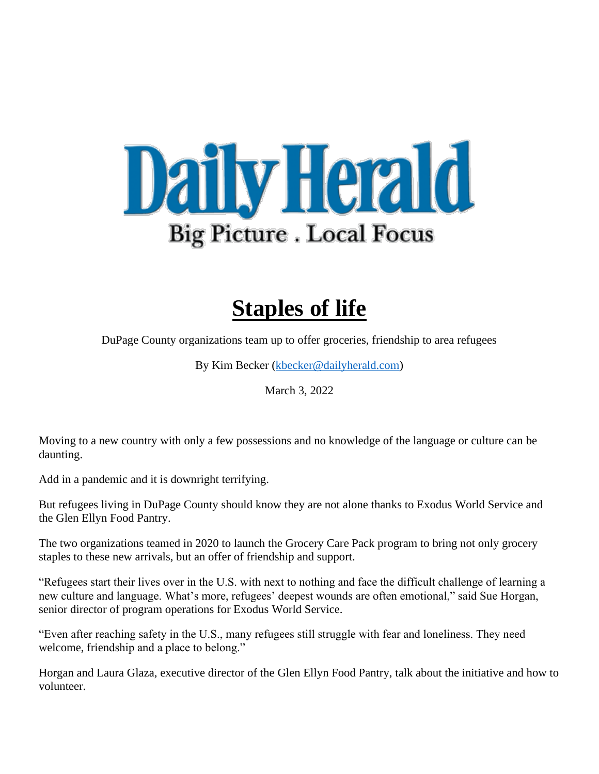

## **Staples of life**

DuPage County organizations team up to offer groceries, friendship to area refugees

By Kim Becker [\(kbecker@dailyherald.com\)](mailto:kbecker@dailyherald.com)

March 3, 2022

Moving to a new country with only a few possessions and no knowledge of the language or culture can be daunting.

Add in a pandemic and it is downright terrifying.

But refugees living in DuPage County should know they are not alone thanks to Exodus World Service and the Glen Ellyn Food Pantry.

The two organizations teamed in 2020 to launch the Grocery Care Pack program to bring not only grocery staples to these new arrivals, but an offer of friendship and support.

"Refugees start their lives over in the U.S. with next to nothing and face the difficult challenge of learning a new culture and language. What's more, refugees' deepest wounds are often emotional," said Sue Horgan, senior director of program operations for Exodus World Service.

"Even after reaching safety in the U.S., many refugees still struggle with fear and loneliness. They need welcome, friendship and a place to belong."

Horgan and Laura Glaza, executive director of the Glen Ellyn Food Pantry, talk about the initiative and how to volunteer.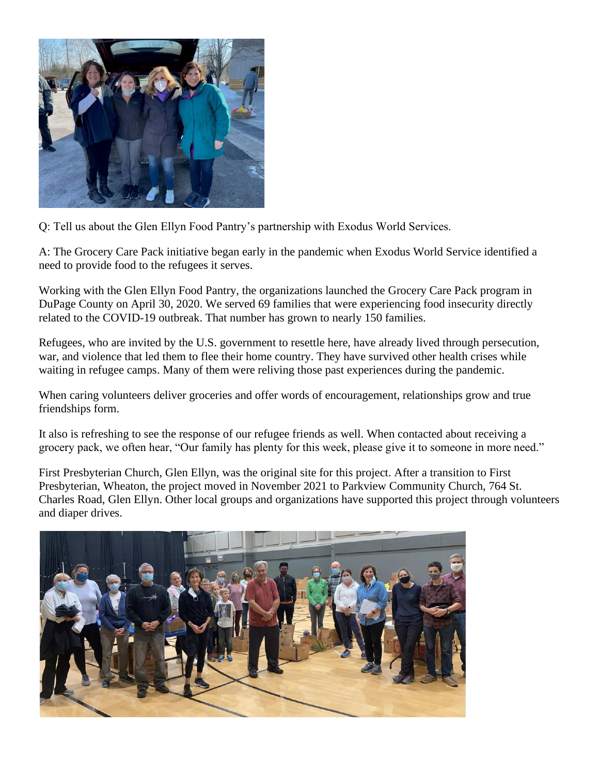

Q: Tell us about the Glen Ellyn Food Pantry's partnership with Exodus World Services.

A: The Grocery Care Pack initiative began early in the pandemic when Exodus World Service identified a need to provide food to the refugees it serves.

Working with the Glen Ellyn Food Pantry, the organizations launched the Grocery Care Pack program in DuPage County on April 30, 2020. We served 69 families that were experiencing food insecurity directly related to the COVID-19 outbreak. That number has grown to nearly 150 families.

Refugees, who are invited by the U.S. government to resettle here, have already lived through persecution, war, and violence that led them to flee their home country. They have survived other health crises while waiting in refugee camps. Many of them were reliving those past experiences during the pandemic.

When caring volunteers deliver groceries and offer words of encouragement, relationships grow and true friendships form.

It also is refreshing to see the response of our refugee friends as well. When contacted about receiving a grocery pack, we often hear, "Our family has plenty for this week, please give it to someone in more need."

First Presbyterian Church, Glen Ellyn, was the original site for this project. After a transition to First Presbyterian, Wheaton, the project moved in November 2021 to Parkview Community Church, 764 St. Charles Road, Glen Ellyn. Other local groups and organizations have supported this project through volunteers and diaper drives.

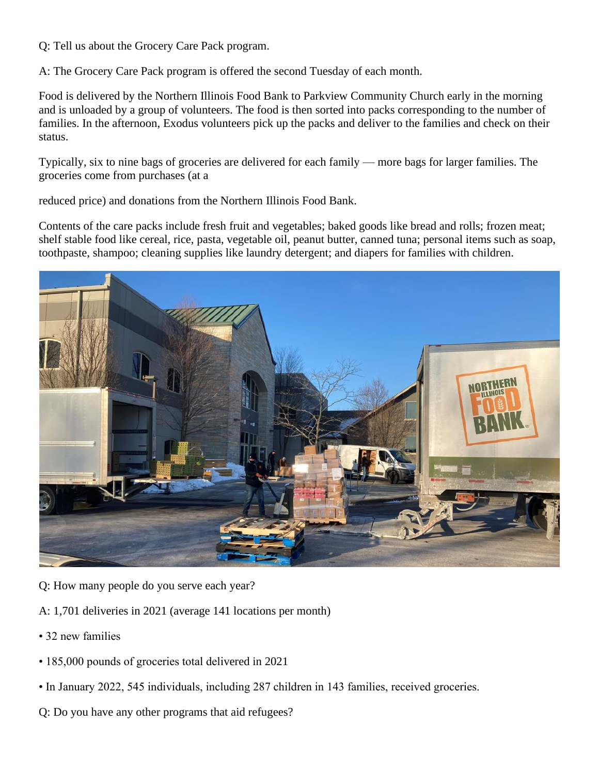Q: Tell us about the Grocery Care Pack program.

A: The Grocery Care Pack program is offered the second Tuesday of each month.

Food is delivered by the Northern Illinois Food Bank to Parkview Community Church early in the morning and is unloaded by a group of volunteers. The food is then sorted into packs corresponding to the number of families. In the afternoon, Exodus volunteers pick up the packs and deliver to the families and check on their status.

Typically, six to nine bags of groceries are delivered for each family — more bags for larger families. The groceries come from purchases (at a

reduced price) and donations from the Northern Illinois Food Bank.

Contents of the care packs include fresh fruit and vegetables; baked goods like bread and rolls; frozen meat; shelf stable food like cereal, rice, pasta, vegetable oil, peanut butter, canned tuna; personal items such as soap, toothpaste, shampoo; cleaning supplies like laundry detergent; and diapers for families with children.



- Q: How many people do you serve each year?
- A: 1,701 deliveries in 2021 (average 141 locations per month)
- 32 new families
- 185,000 pounds of groceries total delivered in 2021
- In January 2022, 545 individuals, including 287 children in 143 families, received groceries.
- Q: Do you have any other programs that aid refugees?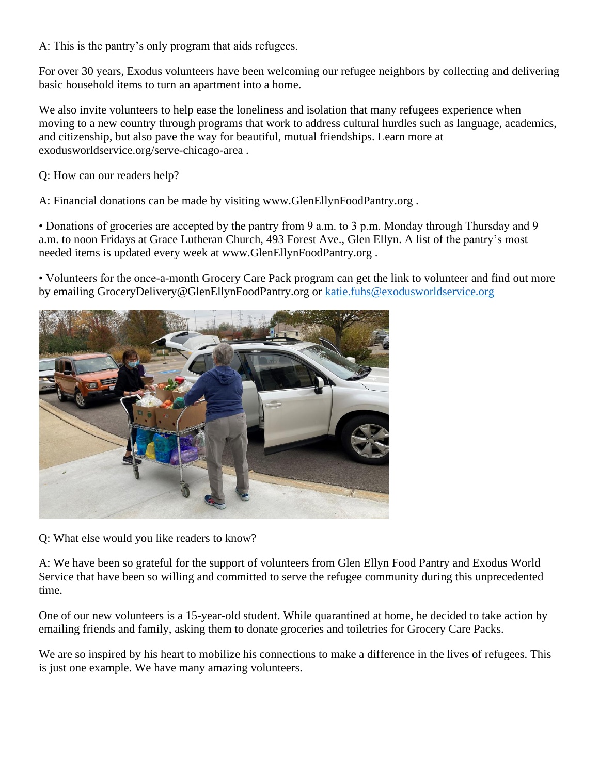A: This is the pantry's only program that aids refugees.

For over 30 years, Exodus volunteers have been welcoming our refugee neighbors by collecting and delivering basic household items to turn an apartment into a home.

We also invite volunteers to help ease the loneliness and isolation that many refugees experience when moving to a new country through programs that work to address cultural hurdles such as language, academics, and citizenship, but also pave the way for beautiful, mutual friendships. Learn more at exodusworldservice.org/serve-chicago-area .

Q: How can our readers help?

A: Financial donations can be made by visiting www.GlenEllynFoodPantry.org .

• Donations of groceries are accepted by the pantry from 9 a.m. to 3 p.m. Monday through Thursday and 9 a.m. to noon Fridays at Grace Lutheran Church, 493 Forest Ave., Glen Ellyn. A list of the pantry's most needed items is updated every week at www.GlenEllynFoodPantry.org .

• Volunteers for the once-a-month Grocery Care Pack program can get the link to volunteer and find out more by emailing GroceryDelivery@GlenEllynFoodPantry.org or [katie.fuhs@exodusworldservice.org](mailto:katie.fuhs@exodusworldservice.org)



Q: What else would you like readers to know?

A: We have been so grateful for the support of volunteers from Glen Ellyn Food Pantry and Exodus World Service that have been so willing and committed to serve the refugee community during this unprecedented time.

One of our new volunteers is a 15-year-old student. While quarantined at home, he decided to take action by emailing friends and family, asking them to donate groceries and toiletries for Grocery Care Packs.

We are so inspired by his heart to mobilize his connections to make a difference in the lives of refugees. This is just one example. We have many amazing volunteers.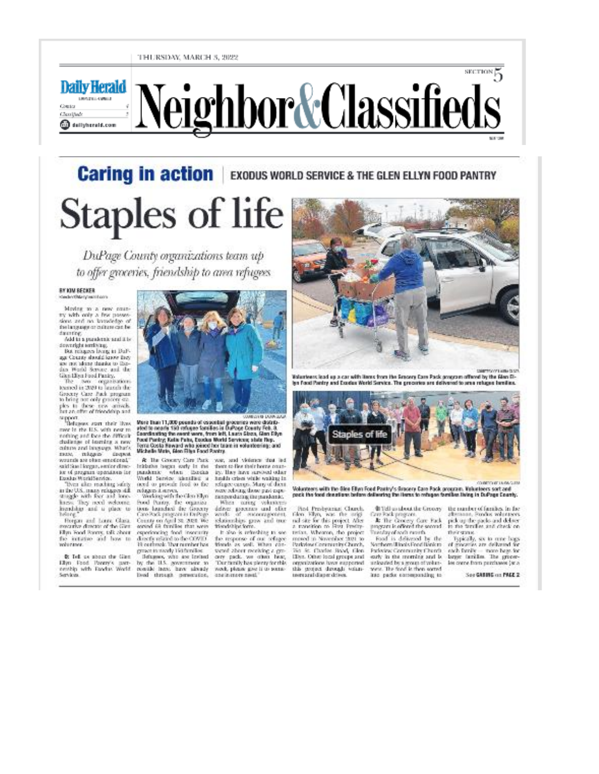#### THURSDAY, MARCH 5, 2022

**Daily Herald** DRAWN CARD Owio Classifieds @dailyherald.com

# Neighbor&Classifieds

**Caring in action** EXODUS WORLD SERVICE & THE GLEN ELLYN FOOD PANTRY **Staples of life** 

DuPage County organizations team up to offer groceries, friendship to area refugees

### **BY KIM RECKER**

Moving to a new coun-<br>by with only a few passes-<br>sions and no knowledge of the language or culture can be darentog:<br>Add in a paralemic and it is:

downright semionag.<br>But relagees loong to DuP-

age County should know they<br>are not identy thanks to likedan World Service and the Gan Ellen Food Panicy.<br>The Soo - organisations<br>teamed in 2020 to leaster the

Grocky Care Pack program<br>to bring not only grocery ex-<br>ples to these ties arrively.<br>but an offer of friendship and support.<br>The layers away their lives

mer in the IES, with near m<br>nothing and loos the difficult dullets: of learning a new culture and bingings. What's<br>mass, religion disquest. muss, mitgaus disquot<br>wounds are observed credit al EEEN, said Sue Horgan, emiter dire ice of program opendavio lor Doxlay MoridService.

Their also maching sales<br>in the U.S. many magaze still straight with four and lone-<br>hanse. They need welcome. traxista and a place to

Freepox and Louis Class.<br>worrier director of the Girm Elyn Food Romy, talk about<br>The Britistice and how to volucione.

**B:** Tell us about the Giest Ellyn Food Panny's patt-<br>certifip with Fandus World<br>Services



More than 11,000 pounds of ossential groceries were distributed to nearly 150 refugee fornibles in DuPoge County Feb. 8.<br>Coordinating the event were, from left, Laura Stoca, Glan Ellyn Food Puntry, Kuthi Pului, Esodua Mortd Servicini; abili: Rep.<br>Toma Costa Neward who joined her team in volunteering; and<br>Michelle Mirks, Glen Filips Food Puntry.

Inidative larges only in the<br>paraketak: when likesing World Service adentified at

relages Larrys<br>  $\sim$  Webing of the Gaussian Southern Contract Contract Contract Contract Contract Contract Contract Contract Contract Contract Contract Contract Contract Contract Contract Contract Contract Contract Contra experiencing food insecurity<br>directly related to the COVID<br>19 certared: Ther number has

process to any 1915 freeling<br>
1914 and 1925 and 1926 and 1937 and 1938 and 1939 and 1939 and 1939<br>
1939 and 1939 and 1939 and 1939 and 1939 and 1939 and 1939 and 1939 and 1939 and 1939 and 1939 and 1939 and 1939 and 1939 a

& The Greeny Care Park was, and violence that led tion to flor their home coun-<br>ity. Hay have sureout other hadds orient with: waiting in<br>refugee camps. Many of dicta<br>was releasing those past expe-

manordamp the parkents:<br>
When using velocities:<br>
When using velocities:<br>
sends of encouragement<br>
relationships prov and true<br>
relationships prov and true<br>
relationships prove and true<br>
relationships and

It also is relucing to see<br>the response of our religee wered about receiving a gro-<br>cory - pack. we - other - bear, <br>The family has pierry for this work, please goe is to some-<br>and interesting!"



Volunteers lead up a car with items from the Smoory Care Pack grosporn offered by the Gian Dlyn Food Pantry and Exedex World Service. The grecuries are delivered to sma reluces handles.



Volunteers with the Gies Ellyn Food Pastry's Grocery Care Pack program. Vulusteers sort and<br>pack the load denstians before delivering the Hems to refugee families living in DuPage County.

Past Prodopamat Claurch,<br>Glen Filips, was the unigi<br>roll site for this project. After<br>a monotron to First Freshyterian, Wheaton, the project<br>moved in November 2021 to<br>ParkvisseCommunity Church, 761 St. Charles Board, filen<br>Hilya. Other is cal groups and presentations have exceeded. this project develop with:<br>nerearabilityer.drives.

Can Pack program<br>At The Grocery Care Pack<br>program is offered the second

Tuesday of each morth<br>Food is delivered by the<br>Northern Illinois Food Henkin Padwing Contracting Church,<br>starly in the morning and is unicated by a group of volunwere. The food is then sorted<br>into packs consumerably, to

\$1 Tell us about the Groony the number of families. In the abstraat, Fordos volunteers<br>pick up the packs and deliver<br>to the further, and check on their stans.

section 信

Typically, six to rune hops<br>of generator are delivered for each family - more hage for<br>larger families. The groomles overe from perchases (at a

See GASING on PAGE 2